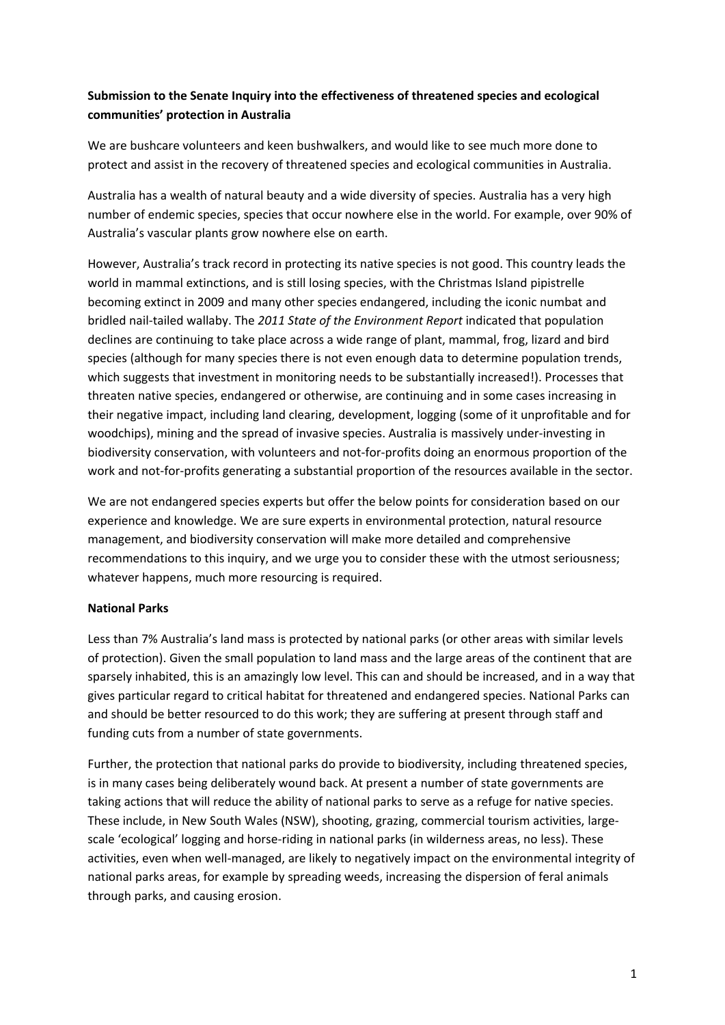# **Submission to the Senate Inquiry into the effectiveness of threatened species and ecological communities' protection in Australia**

We are bushcare volunteers and keen bushwalkers, and would like to see much more done to protect and assist in the recovery of threatened species and ecological communities in Australia.

Australia has a wealth of natural beauty and a wide diversity of species. Australia has a very high number of endemic species, species that occur nowhere else in the world. For example, over 90% of Australia's vascular plants grow nowhere else on earth.

However, Australia's track record in protecting its native species is not good. This country leads the world in mammal extinctions, and is still losing species, with the Christmas Island pipistrelle becoming extinct in 2009 and many other species endangered, including the iconic numbat and bridled nail-tailed wallaby. The *2011 State of the Environment Report* indicated that population declines are continuing to take place across a wide range of plant, mammal, frog, lizard and bird species (although for many species there is not even enough data to determine population trends, which suggests that investment in monitoring needs to be substantially increased!). Processes that threaten native species, endangered or otherwise, are continuing and in some cases increasing in their negative impact, including land clearing, development, logging (some of it unprofitable and for woodchips), mining and the spread of invasive species. Australia is massively under-investing in biodiversity conservation, with volunteers and not-for-profits doing an enormous proportion of the work and not-for-profits generating a substantial proportion of the resources available in the sector.

We are not endangered species experts but offer the below points for consideration based on our experience and knowledge. We are sure experts in environmental protection, natural resource management, and biodiversity conservation will make more detailed and comprehensive recommendations to this inquiry, and we urge you to consider these with the utmost seriousness; whatever happens, much more resourcing is required.

## **National Parks**

Less than 7% Australia's land mass is protected by national parks (or other areas with similar levels of protection). Given the small population to land mass and the large areas of the continent that are sparsely inhabited, this is an amazingly low level. This can and should be increased, and in a way that gives particular regard to critical habitat for threatened and endangered species. National Parks can and should be better resourced to do this work; they are suffering at present through staff and funding cuts from a number of state governments.

Further, the protection that national parks do provide to biodiversity, including threatened species, is in many cases being deliberately wound back. At present a number of state governments are taking actions that will reduce the ability of national parks to serve as a refuge for native species. These include, in New South Wales (NSW), shooting, grazing, commercial tourism activities, largescale 'ecological' logging and horse-riding in national parks (in wilderness areas, no less). These activities, even when well-managed, are likely to negatively impact on the environmental integrity of national parks areas, for example by spreading weeds, increasing the dispersion of feral animals through parks, and causing erosion.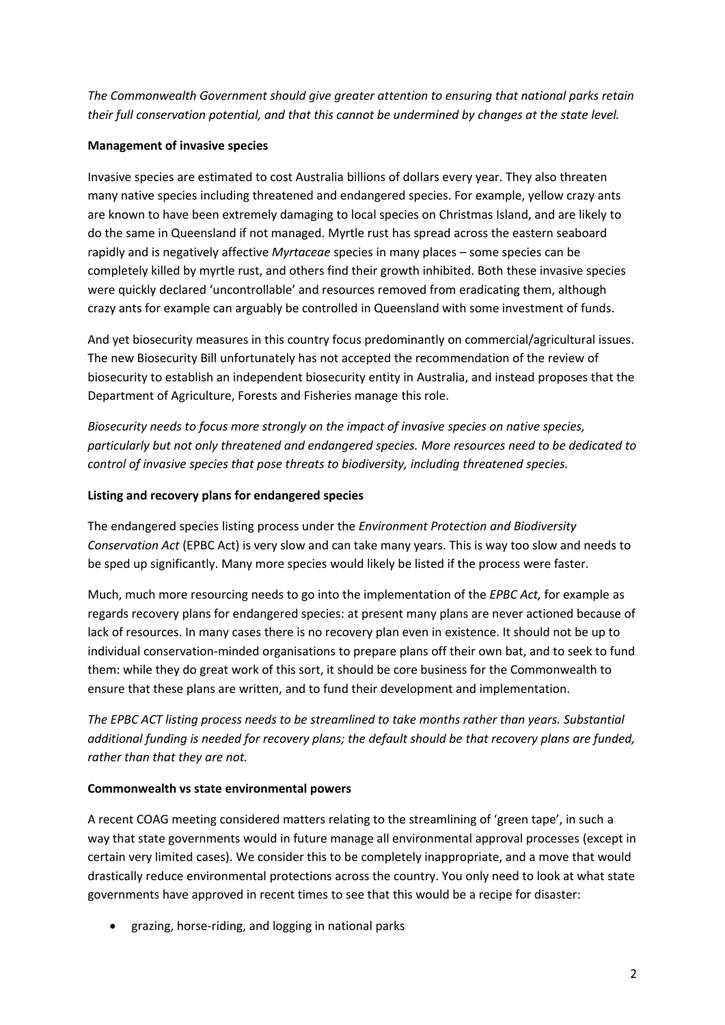*The Commonwealth Government should give greater attention to ensuring that national parks retain their full conservation potential, and that this cannot be undermined by changes at the state level.*

## **Management of invasive species**

Invasive species are estimated to cost Australia billions of dollars every year. They also threaten many native species including threatened and endangered species. For example, yellow crazy ants are known to have been extremely damaging to local species on Christmas Island, and are likely to do the same in Queensland if not managed. Myrtle rust has spread across the eastern seaboard rapidly and is negatively affective *Myrtaceae* species in many places – some species can be completely killed by myrtle rust, and others find their growth inhibited. Both these invasive species were quickly declared 'uncontrollable' and resources removed from eradicating them, although crazy ants for example can arguably be controlled in Queensland with some investment of funds.

And yet biosecurity measures in this country focus predominantly on commercial/agricultural issues. The new Biosecurity Bill unfortunately has not accepted the recommendation of the review of biosecurity to establish an independent biosecurity entity in Australia, and instead proposes that the Department of Agriculture, Forests and Fisheries manage this role.

*Biosecurity needs to focus more strongly on the impact of invasive species on native species, particularly but not only threatened and endangered species. More resources need to be dedicated to control of invasive species that pose threats to biodiversity, including threatened species.*

## **Listing and recovery plans for endangered species**

The endangered species listing process under the *Environment Protection and Biodiversity Conservation Act* (EPBC Act) is very slow and can take many years. This is way too slow and needs to be sped up significantly. Many more species would likely be listed if the process were faster.

Much, much more resourcing needs to go into the implementation of the *EPBC Act,* for example as regards recovery plans for endangered species: at present many plans are never actioned because of lack of resources. In many cases there is no recovery plan even in existence. It should not be up to individual conservation-minded organisations to prepare plans off their own bat, and to seek to fund them: while they do great work of this sort, it should be core business for the Commonwealth to ensure that these plans are written, and to fund their development and implementation.

*The EPBC ACT listing process needs to be streamlined to take months rather than years. Substantial additional funding is needed for recovery plans; the default should be that recovery plans are funded, rather than that they are not.*

## **Commonwealth vs state environmental powers**

A recent COAG meeting considered matters relating to the streamlining of 'green tape', in such a way that state governments would in future manage all environmental approval processes (except in certain very limited cases). We consider this to be completely inappropriate, and a move that would drastically reduce environmental protections across the country. You only need to look at what state governments have approved in recent times to see that this would be a recipe for disaster:

grazing, horse-riding, and logging in national parks